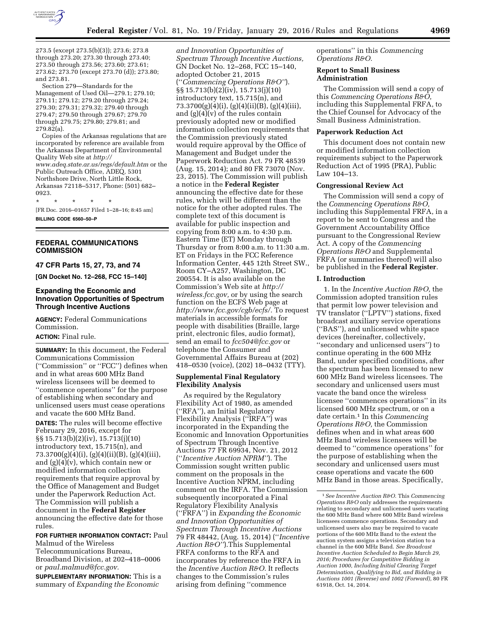

273.5 (except 273.5(b)(3)); 273.6; 273.8 through 273.20; 273.30 through 273.40; 273.50 through 273.56; 273.60; 273.61; 273.62; 273.70 (except 273.70 (d)); 273.80; and 273.81.

Section 279—Standards for the Management of Used Oil—279.1; 279.10; 279.11; 279.12; 279.20 through 279.24; 279.30; 279.31; 279.32; 279.40 through 279.47; 279.50 through 279.67; 279.70 through 279.75; 279.80; 279.81; and 279.82(a).

Copies of the Arkansas regulations that are incorporated by reference are available from the Arkansas Department of Environmental Quality Web site at *[http://](http://www.adeq.state.ar.us/regs/default.htm) [www.adeq.state.ar.us/regs/default.htm](http://www.adeq.state.ar.us/regs/default.htm)* or the Public Outreach Office, ADEQ, 5301 Northshore Drive, North Little Rock, Arkansas 72118–5317, Phone: (501) 682– 0923.

\* \* \* \* \*

[FR Doc. 2016–01657 Filed 1–28–16; 8:45 am] **BILLING CODE 6560–50–P** 

## **FEDERAL COMMUNICATIONS COMMISSION**

**47 CFR Parts 15, 27, 73, and 74** 

**[GN Docket No. 12–268, FCC 15–140]** 

# **Expanding the Economic and Innovation Opportunities of Spectrum Through Incentive Auctions**

**AGENCY:** Federal Communications Commission.

#### **ACTION:** Final rule.

**SUMMARY:** In this document, the Federal Communications Commission (''Commission'' or ''FCC'') defines when and in what areas 600 MHz Band wireless licensees will be deemed to ''commence operations'' for the purpose of establishing when secondary and unlicensed users must cease operations and vacate the 600 MHz Band.

**DATES:** The rules will become effective February 29, 2016, except for §§ 15.713(b)(2)(iv), 15.713(j)(10) introductory text, 15.715(n), and 73.3700(g)(4)(i), (g)(4)(ii)(B), (g)(4)(iii), and (g)(4)(v), which contain new or modified information collection requirements that require approval by the Office of Management and Budget under the Paperwork Reduction Act. The Commission will publish a document in the **Federal Register**  announcing the effective date for those rules.

#### **FOR FURTHER INFORMATION CONTACT:** Paul Malmud of the Wireless

Telecommunications Bureau, Broadband Division, at 202–418–0006 or *[paul.malmud@fcc.gov.](mailto:paul.malmud@fcc.gov)* 

**SUPPLEMENTARY INFORMATION:** This is a summary of *Expanding the Economic* 

*and Innovation Opportunities of Spectrum Through Incentive Auctions,*  GN Docket No. 12–268, FCC 15–140, adopted October 21, 2015 (''*Commencing Operations R&O''*). §§ 15.713(b)(2)(iv), 15.713(j)(10) introductory text, 15.715(n), and 73.3700(g)(4)(i), (g)(4)(ii)(B), (g)(4)(iii), and  $(g)(4)(v)$  of the rules contain previously adopted new or modified information collection requirements that the Commission previously stated would require approval by the Office of Management and Budget under the Paperwork Reduction Act. 79 FR 48539 (Aug. 15, 2014); and 80 FR 73070 (Nov. 23, 2015). The Commission will publish a notice in the **Federal Register**  announcing the effective date for these rules, which will be different than the notice for the other adopted rules. The complete text of this document is available for public inspection and copying from 8:00 a.m. to 4:30 p.m. Eastern Time (ET) Monday through Thursday or from 8:00 a.m. to 11:30 a.m. ET on Fridays in the FCC Reference Information Center, 445 12th Street SW., Room CY–A257, Washington, DC 200554. It is also available on the Commission's Web site at *[http://](http://wireless.fcc.gov) [wireless.fcc.gov,](http://wireless.fcc.gov)* or by using the search function on the ECFS Web page at *[http://www.fcc.gov/cgb/ecfs/.](http://www.fcc.gov/cgb/ecfs/)* To request materials in accessible formats for people with disabilities (Braille, large print, electronic files, audio format), send an email to *[fcc504@fcc.gov](mailto:fcc504@fcc.gov)* or telephone the Consumer and Governmental Affairs Bureau at (202) 418–0530 (voice), (202) 18–0432 (TTY).

## **Supplemental Final Regulatory Flexibility Analysis**

As required by the Regulatory Flexibility Act of 1980, as amended (''RFA''), an Initial Regulatory Flexibility Analysis (''IRFA'') was incorporated in the Expanding the Economic and Innovation Opportunities of Spectrum Through Incentive Auctions 77 FR 69934, Nov. 21, 2012 (''*Incentive Auction NPRM''*). The Commission sought written public comment on the proposals in the Incentive Auction NPRM, including comment on the IRFA. The Commission subsequently incorporated a Final Regulatory Flexibility Analysis (''FRFA'') in *Expanding the Economic and Innovation Opportunities of Spectrum Through Incentive Auctions*  79 FR 48442, (Aug. 15, 2014) (''*Incentive Auction R&O''*).This Supplemental FRFA conforms to the RFA and incorporates by reference the FRFA in the *Incentive Auction R&O.* It reflects changes to the Commission's rules arising from defining ''commence

operations'' in this *Commencing Operations R&O.* 

#### **Report to Small Business Administration**

The Commission will send a copy of this *Commencing Operations R&O,*  including this Supplemental FRFA, to the Chief Counsel for Advocacy of the Small Business Administration.

#### **Paperwork Reduction Act**

This document does not contain new or modified information collection requirements subject to the Paperwork Reduction Act of 1995 (PRA), Public Law 104–13.

#### **Congressional Review Act**

The Commission will send a copy of the *Commencing Operations R&O,*  including this Supplemental FRFA, in a report to be sent to Congress and the Government Accountability Office pursuant to the Congressional Review Act. A copy of the *Commencing Operations R&O* and Supplemental FRFA (or summaries thereof) will also be published in the **Federal Register**.

#### **I. Introduction**

1. In the *Incentive Auction R&O,* the Commission adopted transition rules that permit low power television and TV translator (''LPTV'') stations, fixed broadcast auxiliary service operations (''BAS''), and unlicensed white space devices (hereinafter, collectively, ''secondary and unlicensed users'') to continue operating in the 600 MHz Band, under specified conditions, after the spectrum has been licensed to new 600 MHz Band wireless licensees. The secondary and unlicensed users must vacate the band once the wireless licensee ''commences operations'' in its licensed 600 MHz spectrum, or on a date certain.1 In this *Commencing Operations R&O,* the Commission defines when and in what areas 600 MHz Band wireless licensees will be deemed to ''commence operations'' for the purpose of establishing when the secondary and unlicensed users must cease operations and vacate the 600 MHz Band in those areas. Specifically,

<sup>1</sup>*See Incentive Auction R&O.* This *Commencing Operations R&O* only addresses the requirements relating to secondary and unlicensed users vacating the 600 MHz Band where 600 MHz Band wireless licensees commence operations. Secondary and unlicensed users also may be required to vacate portions of the 600 MHz Band to the extent the auction system assigns a television station to a channel in the 600 MHz Band. *See Broadcast Incentive Auction Scheduled to Begin March 29, 2016; Procedures for Competitive Bidding in Auction 1000, Including Initial Clearing Target Determination, Qualifying to Bid, and Bidding in Auctions 1001 (Reverse) and 1002 (Forward),* 80 FR 61918, Oct. 14, 2014.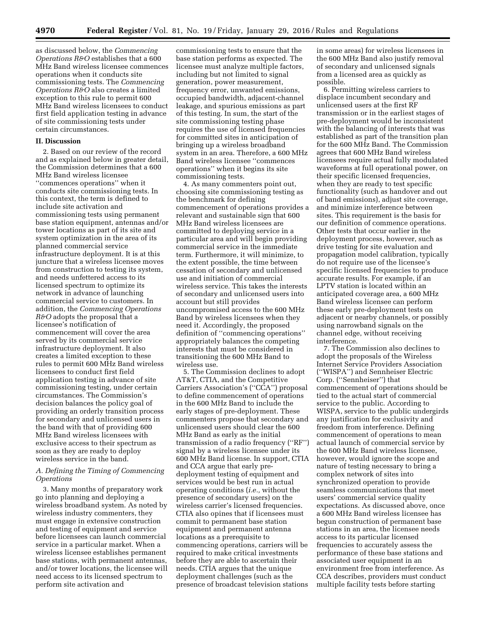as discussed below, the *Commencing Operations R&O* establishes that a 600 MHz Band wireless licensee commences operations when it conducts site commissioning tests. The *Commencing Operations R&O* also creates a limited exception to this rule to permit 600 MHz Band wireless licensees to conduct first field application testing in advance of site commissioning tests under certain circumstances.

#### **II. Discussion**

2. Based on our review of the record and as explained below in greater detail, the Commission determines that a 600 MHz Band wireless licensee ''commences operations'' when it conducts site commissioning tests. In this context, the term is defined to include site activation and commissioning tests using permanent base station equipment, antennas and/or tower locations as part of its site and system optimization in the area of its planned commercial service infrastructure deployment. It is at this juncture that a wireless licensee moves from construction to testing its system, and needs unfettered access to its licensed spectrum to optimize its network in advance of launching commercial service to customers. In addition, the *Commencing Operations R&O* adopts the proposal that a licensee's notification of commencement will cover the area served by its commercial service infrastructure deployment. It also creates a limited exception to these rules to permit 600 MHz Band wireless licensees to conduct first field application testing in advance of site commissioning testing, under certain circumstances. The Commission's decision balances the policy goal of providing an orderly transition process for secondary and unlicensed users in the band with that of providing 600 MHz Band wireless licensees with exclusive access to their spectrum as soon as they are ready to deploy wireless service in the band.

# *A. Defining the Timing of Commencing Operations*

3. Many months of preparatory work go into planning and deploying a wireless broadband system. As noted by wireless industry commenters, they must engage in extensive construction and testing of equipment and service before licensees can launch commercial service in a particular market. When a wireless licensee establishes permanent base stations, with permanent antennas, and/or tower locations, the licensee will need access to its licensed spectrum to perform site activation and

commissioning tests to ensure that the base station performs as expected. The licensee must analyze multiple factors, including but not limited to signal generation, power measurement, frequency error, unwanted emissions, occupied bandwidth, adjacent-channel leakage, and spurious emissions as part of this testing. In sum, the start of the site commissioning testing phase requires the use of licensed frequencies for committed sites in anticipation of bringing up a wireless broadband system in an area. Therefore, a 600 MHz Band wireless licensee ''commences operations'' when it begins its site commissioning tests.

4. As many commenters point out, choosing site commissioning testing as the benchmark for defining commencement of operations provides a relevant and sustainable sign that 600 MHz Band wireless licensees are committed to deploying service in a particular area and will begin providing commercial service in the immediate term. Furthermore, it will minimize, to the extent possible, the time between cessation of secondary and unlicensed use and initiation of commercial wireless service. This takes the interests of secondary and unlicensed users into account but still provides uncompromised access to the 600 MHz Band by wireless licensees when they need it. Accordingly, the proposed definition of ''commencing operations'' appropriately balances the competing interests that must be considered in transitioning the 600 MHz Band to wireless use.

5. The Commission declines to adopt AT&T, CTIA, and the Competitive Carriers Association's (''CCA'') proposal to define commencement of operations in the 600 MHz Band to include the early stages of pre-deployment. These commenters propose that secondary and unlicensed users should clear the 600 MHz Band as early as the initial transmission of a radio frequency (''RF'') signal by a wireless licensee under its 600 MHz Band license. In support, CTIA and CCA argue that early predeployment testing of equipment and services would be best run in actual operating conditions (*i.e.,* without the presence of secondary users) on the wireless carrier's licensed frequencies. CTIA also opines that if licensees must commit to permanent base station equipment and permanent antenna locations as a prerequisite to commencing operations, carriers will be required to make critical investments before they are able to ascertain their needs. CTIA argues that the unique deployment challenges (such as the presence of broadcast television stations

in some areas) for wireless licensees in the 600 MHz Band also justify removal of secondary and unlicensed signals from a licensed area as quickly as possible.

6. Permitting wireless carriers to displace incumbent secondary and unlicensed users at the first RF transmission or in the earliest stages of pre-deployment would be inconsistent with the balancing of interests that was established as part of the transition plan for the 600 MHz Band. The Commission agrees that 600 MHz Band wireless licensees require actual fully modulated waveforms at full operational power, on their specific licensed frequencies, when they are ready to test specific functionality (such as handover and out of band emissions), adjust site coverage, and minimize interference between sites. This requirement is the basis for our definition of commence operations. Other tests that occur earlier in the deployment process, however, such as drive testing for site evaluation and propagation model calibration, typically do not require use of the licensee's specific licensed frequencies to produce accurate results. For example, if an LPTV station is located within an anticipated coverage area, a 600 MHz Band wireless licensee can perform these early pre-deployment tests on adjacent or nearby channels, or possibly using narrowband signals on the channel edge, without receiving interference.

7. The Commission also declines to adopt the proposals of the Wireless Internet Service Providers Association (''WISPA'') and Sennheiser Electric Corp. (''Sennheiser'') that commencement of operations should be tied to the actual start of commercial service to the public. According to WISPA, service to the public undergirds any justification for exclusivity and freedom from interference. Defining commencement of operations to mean actual launch of commercial service by the 600 MHz Band wireless licensee, however, would ignore the scope and nature of testing necessary to bring a complex network of sites into synchronized operation to provide seamless communications that meet users' commercial service quality expectations. As discussed above, once a 600 MHz Band wireless licensee has begun construction of permanent base stations in an area, the licensee needs access to its particular licensed frequencies to accurately assess the performance of these base stations and associated user equipment in an environment free from interference. As CCA describes, providers must conduct multiple facility tests before starting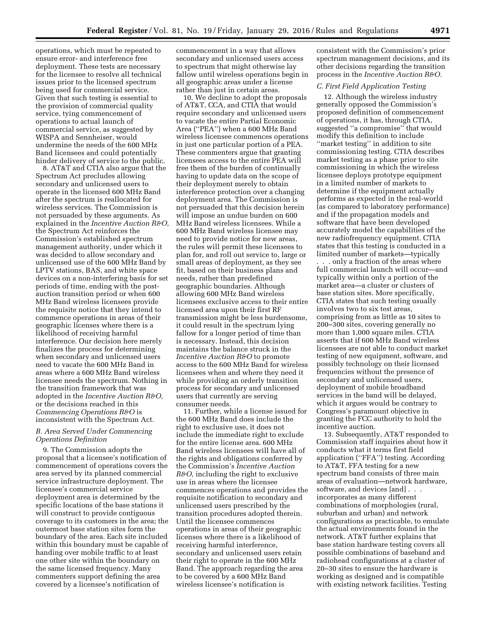operations, which must be repeated to ensure error- and interference free deployment. These tests are necessary for the licensee to resolve all technical issues prior to the licensed spectrum being used for commercial service. Given that such testing is essential to the provision of commercial quality service, tying commencement of operations to actual launch of commercial service, as suggested by WISPA and Sennheiser, would undermine the needs of the 600 MHz Band licensees and could potentially hinder delivery of service to the public.

8. AT&T and CTIA also argue that the Spectrum Act precludes allowing secondary and unlicensed users to operate in the licensed 600 MHz Band after the spectrum is reallocated for wireless services. The Commission is not persuaded by these arguments. As explained in the *Incentive Auction R&O,*  the Spectrum Act reinforces the Commission's established spectrum management authority, under which it was decided to allow secondary and unlicensed use of the 600 MHz Band by LPTV stations, BAS, and white space devices on a non-interfering basis for set periods of time, ending with the postauction transition period or when 600 MHz Band wireless licensees provide the requisite notice that they intend to commence operations in areas of their geographic licenses where there is a likelihood of receiving harmful interference. Our decision here merely finalizes the process for determining when secondary and unlicensed users need to vacate the 600 MHz Band in areas where a 600 MHz Band wireless licensee needs the spectrum. Nothing in the transition framework that was adopted in the *Incentive Auction R&O,*  or the decisions reached in this *Commencing Operations R&O* is inconsistent with the Spectrum Act.

# *B. Area Served Under Commencing Operations Definition*

9. The Commission adopts the proposal that a licensee's notification of commencement of operations covers the area served by its planned commercial service infrastructure deployment. The licensee's commercial service deployment area is determined by the specific locations of the base stations it will construct to provide contiguous coverage to its customers in the area; the outermost base station sites form the boundary of the area. Each site included within this boundary must be capable of handing over mobile traffic to at least one other site within the boundary on the same licensed frequency. Many commenters support defining the area covered by a licensee's notification of

commencement in a way that allows secondary and unlicensed users access to spectrum that might otherwise lay fallow until wireless operations begin in all geographic areas under a license rather than just in certain areas.

10. We decline to adopt the proposals of AT&T, CCA, and CTIA that would require secondary and unlicensed users to vacate the entire Partial Economic Area (''PEA'') when a 600 MHz Band wireless licensee commences operations in just one particular portion of a PEA. These commenters argue that granting licensees access to the entire PEA will free them of the burden of continually having to update data on the scope of their deployment merely to obtain interference protection over a changing deployment area. The Commission is not persuaded that this decision herein will impose an undue burden on 600 MHz Band wireless licensees. While a 600 MHz Band wireless licensee may need to provide notice for new areas, the rules will permit these licensees to plan for, and roll out service to, large or small areas of deployment, as they see fit, based on their business plans and needs, rather than predefined geographic boundaries. Although allowing 600 MHz Band wireless licensees exclusive access to their entire licensed area upon their first RF transmission might be less burdensome, it could result in the spectrum lying fallow for a longer period of time than is necessary. Instead, this decision maintains the balance struck in the *Incentive Auction R&O* to promote access to the 600 MHz Band for wireless licensees when and where they need it while providing an orderly transition process for secondary and unlicensed users that currently are serving consumer needs.

11. Further, while a license issued for the 600 MHz Band does include the right to exclusive use, it does not include the immediate right to exclude for the entire license area. 600 MHz Band wireless licensees will have all of the rights and obligations conferred by the Commission's *Incentive Auction R&O,* including the right to exclusive use in areas where the licensee commences operations and provides the requisite notification to secondary and unlicensed users prescribed by the transition procedures adopted therein. Until the licensee commences operations in areas of their geographic licenses where there is a likelihood of receiving harmful interference, secondary and unlicensed users retain their right to operate in the 600 MHz Band. The approach regarding the area to be covered by a 600 MHz Band wireless licensee's notification is

consistent with the Commission's prior spectrum management decisions, and its other decisions regarding the transition process in the *Incentive Auction R&O.* 

# *C. First Field Application Testing*

12. Although the wireless industry generally opposed the Commission's proposed definition of commencement of operations, it has, through CTIA, suggested ''a compromise'' that would modify this definition to include ''market testing'' in addition to site commissioning testing. CTIA describes market testing as a phase prior to site commissioning in which the wireless licensee deploys prototype equipment in a limited number of markets to determine if the equipment actually performs as expected in the real-world (as compared to laboratory performance) and if the propagation models and software that have been developed accurately model the capabilities of the new radiofrequency equipment. CTIA states that this testing is conducted in a limited number of markets—typically

. . . only a fraction of the areas where full commercial launch will occur—and typically within only a portion of the market area—a cluster or clusters of base station sites. More specifically, CTIA states that such testing usually involves two to six test areas, comprising from as little as 10 sites to 200–300 sites, covering generally no more than 1,000 square miles. CTIA asserts that if 600 MHz Band wireless licensees are not able to conduct market testing of new equipment, software, and possibly technology on their licensed frequencies without the presence of secondary and unlicensed users, deployment of mobile broadband services in the band will be delayed, which it argues would be contrary to Congress's paramount objective in granting the FCC authority to hold the incentive auction.

13. Subsequently, AT&T responded to Commission staff inquiries about how it conducts what it terms first field application (''FFA'') testing. According to AT&T, FFA testing for a new spectrum band consists of three main areas of evaluation—network hardware, software, and devices [and] . . . incorporates as many different combinations of morphologies (rural, suburban and urban) and network configurations as practicable, to emulate the actual environments found in the network. AT&T further explains that base station hardware testing covers all possible combinations of baseband and radiohead configurations at a cluster of 20–30 sites to ensure the hardware is working as designed and is compatible with existing network facilities. Testing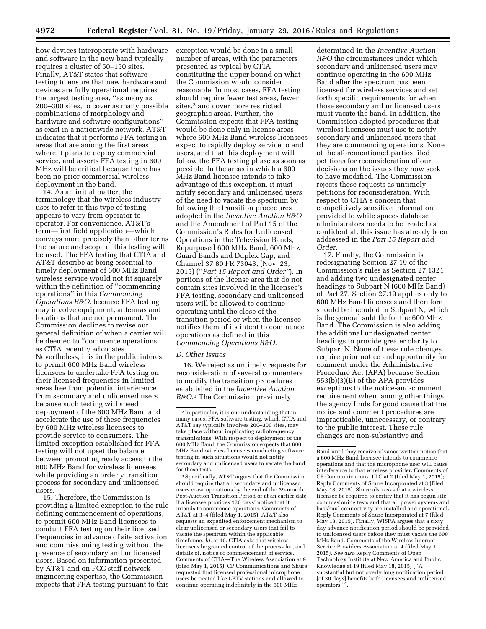how devices interoperate with hardware and software in the new band typically requires a cluster of 50–150 sites. Finally, AT&T states that software testing to ensure that new hardware and devices are fully operational requires the largest testing area, ''as many as 200–300 sites, to cover as many possible combinations of morphology and hardware and software configurations'' as exist in a nationwide network. AT&T indicates that it performs FFA testing in areas that are among the first areas where it plans to deploy commercial service, and asserts FFA testing in 600 MHz will be critical because there has been no prior commercial wireless deployment in the band.

14. As an initial matter, the terminology that the wireless industry uses to refer to this type of testing appears to vary from operator to operator. For convenience, AT&T's term—first field application—which conveys more precisely than other terms the nature and scope of this testing will be used. The FFA testing that CTIA and AT&T describe as being essential to timely deployment of 600 MHz Band wireless service would not fit squarely within the definition of ''commencing operations'' in this *Commencing Operations R&O,* because FFA testing may involve equipment, antennas and locations that are not permanent. The Commission declines to revise our general definition of when a carrier will be deemed to ''commence operations'' as CTIA recently advocates. Nevertheless, it is in the public interest to permit 600 MHz Band wireless licensees to undertake FFA testing on their licensed frequencies in limited areas free from potential interference from secondary and unlicensed users, because such testing will speed deployment of the 600 MHz Band and accelerate the use of these frequencies by 600 MHz wireless licensees to provide service to consumers. The limited exception established for FFA testing will not upset the balance between promoting ready access to the 600 MHz Band for wireless licensees while providing an orderly transition process for secondary and unlicensed users.

15. Therefore, the Commission is providing a limited exception to the rule defining commencement of operations, to permit 600 MHz Band licensees to conduct FFA testing on their licensed frequencies in advance of site activation and commissioning testing without the presence of secondary and unlicensed users. Based on information presented by AT&T and on FCC staff network engineering expertise, the Commission expects that FFA testing pursuant to this exception would be done in a small number of areas, with the parameters presented as typical by CTIA constituting the upper bound on what the Commission would consider reasonable. In most cases, FFA testing should require fewer test areas, fewer sites,<sup>2</sup> and cover more restricted geographic areas. Further, the Commission expects that FFA testing would be done only in license areas where 600 MHz Band wireless licensees expect to rapidly deploy service to end users, and that this deployment will follow the FFA testing phase as soon as possible. In the areas in which a 600 MHz Band licensee intends to take advantage of this exception, it must notify secondary and unlicensed users of the need to vacate the spectrum by following the transition procedures adopted in the *Incentive Auction R&O*  and the Amendment of Part 15 of the Commission's Rules for Unlicensed Operations in the Television Bands, Repurposed 600 MHz Band, 600 MHz Guard Bands and Duplex Gap, and Channel 37 80 FR 73043, (Nov. 23, 2015) (''*Part 15 Report and Order''*). In portions of the license area that do not contain sites involved in the licensee's FFA testing, secondary and unlicensed users will be allowed to continue operating until the close of the transition period or when the licensee notifies them of its intent to commence operations as defined in this *Commencing Operations R&O.* 

#### *D. Other Issues*

16. We reject as untimely requests for reconsideration of several commenters to modify the transition procedures established in the *Incentive Auction R&O.*3 The Commission previously

3Specifically, AT&T argues that the Commission should require that all secondary and unlicensed users cease operations by the end of the 39-month Post-Auction Transition Period or at an earlier date if a licensee provides 120 days' notice that it intends to commence operations. Comments of AT&T at 3–4 (filed May 1, 2015). AT&T also requests an expedited enforcement mechanism to clear unlicensed or secondary users that fail to vacate the spectrum within the applicable timeframe. *Id.* at 10. CTIA asks that wireless licensees be granted control of the process for, and details of, notice of commencement of service. Comments of CTIA—The Wireless Association at 9 (filed May 1, 2015). CP Communications and Shure requested that licensed professional microphone users be treated like LPTV stations and allowed to continue operating indefinitely in the 600 MHz

determined in the *Incentive Auction R&O* the circumstances under which secondary and unlicensed users may continue operating in the 600 MHz Band after the spectrum has been licensed for wireless services and set forth specific requirements for when those secondary and unlicensed users must vacate the band. In addition, the Commission adopted procedures that wireless licensees must use to notify secondary and unlicensed users that they are commencing operations. None of the aforementioned parties filed petitions for reconsideration of our decisions on the issues they now seek to have modified. The Commission rejects these requests as untimely petitions for reconsideration. With respect to CTIA's concern that competitively sensitive information provided to white spaces database administrators needs to be treated as confidential, this issue has already been addressed in the *Part 15 Report and Order.* 

17. Finally, the Commission is redesignating Section 27.19 of the Commission's rules as Section 27.1321 and adding two undesignated center headings to Subpart N (600 MHz Band) of Part 27. Section 27.19 applies only to 600 MHz Band licensees and therefore should be included in Subpart N, which is the general subtitle for the 600 MHz Band. The Commission is also adding the additional undesignated center headings to provide greater clarity to Subpart N. None of these rule changes require prior notice and opportunity for comment under the Administrative Procedure Act (APA) because Section 553(b)(3)(B) of the APA provides exceptions to the notice-and-comment requirement when, among other things, the agency finds for good cause that the notice and comment procedures are impracticable, unnecessary, or contrary to the public interest. These rule changes are non-substantive and

<sup>2</sup> In particular, it is our understanding that in many cases, FFA software testing, which CTIA and AT&T say typically involves 200–300 sites, may take place without implicating radiofrequency transmissions. With respect to deployment of the 600 MHz Band, the Commission expects that 600 MHz Band wireless licensees conducting software testing in such situations would not notify secondary and unlicensed users to vacate the band for these tests.

Band until they receive advance written notice that a 600 MHz Band licensee intends to commence operations and that the microphone user will cause interference to that wireless provider. Comments of CP Communications, LLC at 2 (filed May 1, 2015); Reply Comments of Shure Incorporated at 3 (filed May 18, 2015). Shure also asks that a wireless licensee be required to certify that it has begun site commissioning tests and that all power systems and backhaul connectivity are installed and operational. Reply Comments of Shure Incorporated at 7 (filed May 18, 2015). Finally, WISPA argues that a sixty day advance notification period should be provided to unlicensed users before they must vacate the 600 MHz Band. Comments of the Wireless Internet Service Providers Association at 4 (filed May 1, 2015). *See also* Reply Comments of Open Technology Institute at New America and Public Knowledge at 19 (filed May 18, 2015) (''A substantial but not overly long notification period [of 30 days] benefits both licensees and unlicensed operators.'').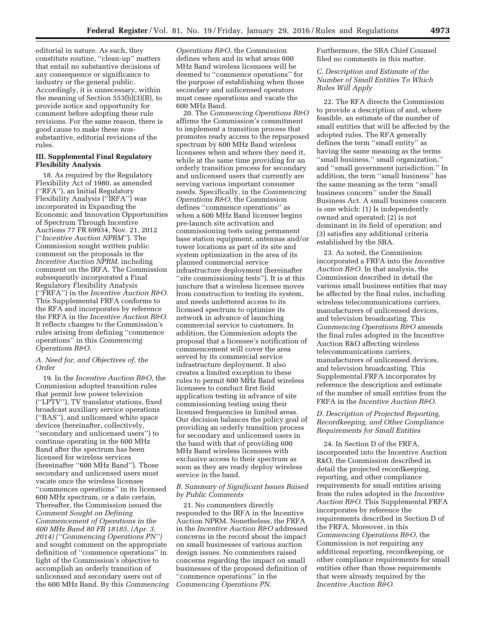editorial in nature. As such, they constitute routine, ''clean-up'' matters that entail no substantive decisions of any consequence or significance to industry or the general public. Accordingly, it is unnecessary, within the meaning of Section 553(b)(3)(B), to provide notice and opportunity for comment before adopting these rule revisions. For the same reason, there is good cause to make these nonsubstantive, editorial revisions of the rules.

## **III. Supplemental Final Regulatory Flexibility Analysis**

18. As required by the Regulatory Flexibility Act of 1980, as amended (''RFA''), an Initial Regulatory Flexibility Analysis (''IRFA'') was incorporated in Expanding the Economic and Innovation Opportunities of Spectrum Through Incentive Auctions 77 FR 69934, Nov. 21, 2012 (''*Incentive Auction NPRM''*). The Commission sought written public comment on the proposals in the *Incentive Auction NPRM,* including comment on the IRFA. The Commission subsequently incorporated a Final Regulatory Flexibility Analysis (''FRFA'') in the *Incentive Auction R&O.*  This Supplemental FRFA conforms to the RFA and incorporates by reference the FRFA in the *Incentive Auction R&O.*  It reflects changes to the Commission's rules arising from defining ''commence operations'' in this *Commencing Operations R&O.* 

## *A. Need for, and Objectives of, the Order*

19. In the *Incentive Auction R&O,* the Commission adopted transition rules that permit low power television (''LPTV''), TV translator stations, fixed broadcast auxiliary service operations (''BAS''), and unlicensed white space devices (hereinafter, collectively, ''secondary and unlicensed users'') to continue operating in the 600 MHz Band after the spectrum has been licensed for wireless services (hereinafter ''600 MHz Band''). Those secondary and unlicensed users must vacate once the wireless licensee ''commences operations'' in its licensed 600 MHz spectrum, or a date certain. Thereafter, the Commission issued the *Comment Sought on Defining Commencement of Operations in the 600 MHz Band 80 FR 18185, (Apr. 3, 2014) (''Commencing Operations PN'')*  and sought comment on the appropriate definition of ''commence operations'' in light of the Commission's objective to accomplish an orderly transition of unlicensed and secondary users out of the 600 MHz Band. By this *Commencing*  *Operations R&O,* the Commission defines when and in what areas 600 MHz Band wireless licensees will be deemed to ''commence operations'' for the purpose of establishing when those secondary and unlicensed operators must cease operations and vacate the 600 MHz Band.

20. The *Commencing Operations R&O*  affirms the Commission's commitment to implement a transition process that promotes ready access to the repurposed spectrum by 600 MHz Band wireless licensees when and where they need it, while at the same time providing for an orderly transition process for secondary and unlicensed users that currently are serving various important consumer needs. Specifically, in the *Commencing Operations R&O,* the Commission defines ''commence operations'' as when a 600 MHz Band licensee begins pre-launch site activation and commissioning tests using permanent base station equipment, antennas and/or tower locations as part of its site and system optimization in the area of its planned commercial service infrastructure deployment (hereinafter ''site commissioning tests''). It is at this juncture that a wireless licensee moves from construction to testing its system, and needs unfettered access to its licensed spectrum to optimize its network in advance of launching commercial service to customers. In addition, the Commission adopts the proposal that a licensee's notification of commencement will cover the area served by its commercial service infrastructure deployment. It also creates a limited exception to these rules to permit 600 MHz Band wireless licensees to conduct first field application testing in advance of site commissioning testing using their licensed frequencies in limited areas. Our decision balances the policy goal of providing an orderly transition process for secondary and unlicensed users in the band with that of providing 600 MHz Band wireless licensees with exclusive access to their spectrum as soon as they are ready deploy wireless service in the band.

## *B. Summary of Significant Issues Raised by Public Comments*

21. No commenters directly responded to the IRFA in the Incentive Auction NPRM. Nonetheless, the FRFA in the *Incentive Auction R&O* addressed concerns in the record about the impact on small businesses of various auction design issues. No commenters raised concerns regarding the impact on small businesses of the proposed definition of ''commence operations'' in the *Commencing Operations PN.* 

Furthermore, the SBA Chief Counsel filed no comments in this matter.

# *C. Description and Estimate of the Number of Small Entities To Which Rules Will Apply*

22. The RFA directs the Commission to provide a description of and, where feasible, an estimate of the number of small entities that will be affected by the adopted rules. The RFA generally defines the term ''small entity'' as having the same meaning as the terms ''small business,'' small organization,'' and ''small government jurisdiction.'' In addition, the term ''small business'' has the same meaning as the term ''small business concern'' under the Small Business Act. A small business concern is one which: (1) Is independently owned and operated; (2) is not dominant in its field of operation; and (3) satisfies any additional criteria established by the SBA.

23. As noted, the Commission incorporated a FRFA into the *Incentive Auction R&O.* In that analysis, the Commission described in detail the various small business entities that may be affected by the final rules, including wireless telecommunications carriers, manufacturers of unlicensed devices, and television broadcasting. This *Commencing Operations R&O* amends the final rules adopted in the Incentive Auction R&O affecting wireless telecommunications carriers, manufacturers of unlicensed devices, and television broadcasting. This Supplemental FRFA incorporates by reference the description and estimate of the number of small entities from the FRFA in the *Incentive Auction R&O.* 

# *D. Description of Projected Reporting, Recordkeeping, and Other Compliance Requirements for Small Entities*

24. In Section D of the FRFA, incorporated into the Incentive Auction R&O, the Commission described in detail the projected recordkeeping, reporting, and other compliance requirements for small entities arising from the rules adopted in the *Incentive Auction R&O.* This Supplemental FRFA incorporates by reference the requirements described in Section D of the FRFA. Moreover, in this *Commencing Operations R&O,* the Commission is not requiring any additional reporting, recordkeeping, or other compliance requirements for small entities other than those requirements that were already required by the *Incentive Auction R&O.*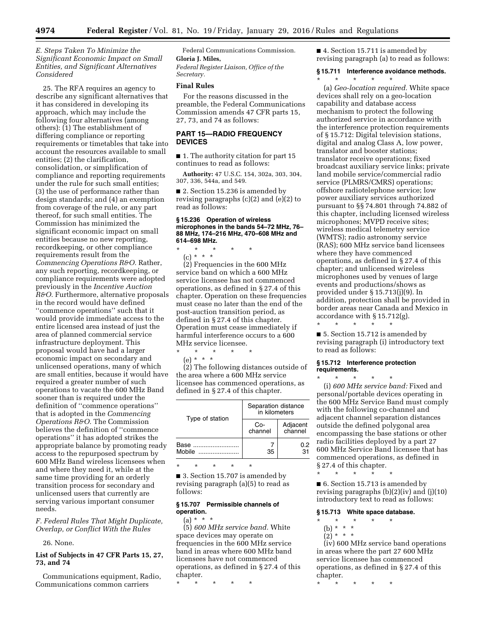## *E. Steps Taken To Minimize the Significant Economic Impact on Small Entities, and Significant Alternatives Considered*

25. The RFA requires an agency to describe any significant alternatives that it has considered in developing its approach, which may include the following four alternatives (among others): (1) The establishment of differing compliance or reporting requirements or timetables that take into account the resources available to small entities; (2) the clarification, consolidation, or simplification of compliance and reporting requirements under the rule for such small entities; (3) the use of performance rather than design standards; and (4) an exemption from coverage of the rule, or any part thereof, for such small entities. The Commission has minimized the significant economic impact on small entities because no new reporting, recordkeeping, or other compliance requirements result from the *Commencing Operations R&O.* Rather, any such reporting, recordkeeping, or compliance requirements were adopted previously in the *Incentive Auction R&O.* Furthermore, alternative proposals in the record would have defined ''commence operations'' such that it would provide immediate access to the entire licensed area instead of just the area of planned commercial service infrastructure deployment. This proposal would have had a larger economic impact on secondary and unlicensed operations, many of which are small entities, because it would have required a greater number of such operations to vacate the 600 MHz Band sooner than is required under the definition of ''commence operations'' that is adopted in the *Commencing Operations R&O.* The Commission believes the definition of ''commence operations'' it has adopted strikes the appropriate balance by promoting ready access to the repurposed spectrum by 600 MHz Band wireless licensees when and where they need it, while at the same time providing for an orderly transition process for secondary and unlicensed users that currently are serving various important consumer needs.

*F. Federal Rules That Might Duplicate, Overlap, or Conflict With the Rules* 

## 26. None.

## **List of Subjects in 47 CFR Parts 15, 27, 73, and 74**

Communications equipment, Radio, Communications common carriers

Federal Communications Commission. **Gloria J. Miles,** 

*Federal Register Liaison, Office of the Secretary.* 

## **Final Rules**

For the reasons discussed in the preamble, the Federal Communications Commission amends 47 CFR parts 15, 27, 73, and 74 as follows:

## **PART 15—RADIO FREQUENCY DEVICES**

■ 1. The authority citation for part 15 continues to read as follows:

**Authority:** 47 U.S.C. 154, 302a, 303, 304, 307, 336, 544a, and 549.

■ 2. Section 15.236 is amended by revising paragraphs (c)(2) and (e)(2) to read as follows:

#### **§ 15.236 Operation of wireless microphones in the bands 54–72 MHz, 76– 88 MHz, 174–216 MHz, 470–608 MHz and 614–698 MHz.**

\* \* \* \* \*

(c) \* \* \* (2) Frequencies in the 600 MHz service band on which a 600 MHz service licensee has not commenced operations, as defined in § 27.4 of this chapter. Operation on these frequencies must cease no later than the end of the post-auction transition period, as defined in § 27.4 of this chapter. Operation must cease immediately if harmful interference occurs to a 600 MHz service licensee.

\* \* \* \* \*

(e) \* \* \* (2) The following distances outside of the area where a 600 MHz service licensee has commenced operations, as defined in § 27.4 of this chapter.

| Separation distance<br>in kilometers |                     |
|--------------------------------------|---------------------|
| Co-<br>channel                       | Adjacent<br>channel |
| 35                                   | 0.2<br>31           |
|                                      |                     |

■ 3. Section 15.707 is amended by revising paragraph (a)(5) to read as follows:

# **§ 15.707 Permissible channels of operation.**

\* \* \* \* \*

# $(a) * * * *$

(5) *600 MHz service band.* White space devices may operate on frequencies in the 600 MHz service band in areas where 600 MHz band licensees have not commenced operations, as defined in § 27.4 of this chapter.

■ 4. Section 15.711 is amended by revising paragraph (a) to read as follows:

# **§ 15.711 Interference avoidance methods.**  \* \* \* \* \*

(a) *Geo-location required.* White space devices shall rely on a geo-location capability and database access mechanism to protect the following authorized service in accordance with the interference protection requirements of § 15.712: Digital television stations, digital and analog Class A, low power, translator and booster stations; translator receive operations; fixed broadcast auxiliary service links; private land mobile service/commercial radio service (PLMRS/CMRS) operations; offshore radiotelephone service; low power auxiliary services authorized pursuant to §§ 74.801 through 74.882 of this chapter, including licensed wireless microphones; MVPD receive sites; wireless medical telemetry service (WMTS); radio astronomy service (RAS); 600 MHz service band licensees where they have commenced operations, as defined in § 27.4 of this chapter; and unlicensed wireless microphones used by venues of large events and productions/shows as provided under § 15.713(j)(9). In addition, protection shall be provided in border areas near Canada and Mexico in accordance with § 15.712(g).

■ 5. Section 15.712 is amended by revising paragraph (i) introductory text to read as follows:

#### **§ 15.712 Interference protection requirements.**

\* \* \* \* \*

\* \* \* \* \* (i) *600 MHz service band:* Fixed and personal/portable devices operating in the 600 MHz Service Band must comply with the following co-channel and adjacent channel separation distances outside the defined polygonal area encompassing the base stations or other radio facilities deployed by a part 27 600 MHz Service Band licensee that has commenced operations, as defined in

§ 27.4 of this chapter. \* \* \* \* \*

■ 6. Section 15.713 is amended by

revising paragraphs  $(b)(2)(iv)$  and  $(j)(10)$ introductory text to read as follows:

#### **§ 15.713 White space database.**

- \* \* \* \* \*
	- (b) \* \* \*  $(2)^{*}$  \* \*

(iv) 600 MHz service band operations in areas where the part 27 600 MHz service licensee has commenced operations, as defined in § 27.4 of this chapter.

\* \* \* \* \*

<sup>\* \* \* \* \*</sup>